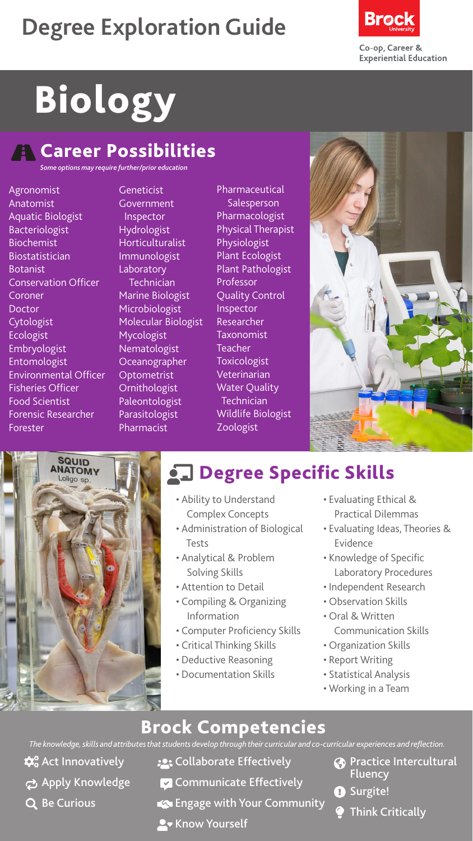## **Degree Exploration Guide**



# Biology

#### **A** Career Possibilities

*Some options may require further/prior education*

Agronomist Anatomist Aquatic Biologist Bacteriologist Biochemist Biostatistician Botanist Conservation Officer Coroner Doctor **Cytologist** Ecologist Embryologist Entomologist Environmental Officer Fisheries Officer Food Scientist Forensic Researcher Forester

**Geneticist** Government Inspector Hydrologist Horticulturalist Immunologist Laboratory Technician Marine Biologist Microbiologist Molecular Biologist Mycologist Nematologist Oceanographer **Optometrist Ornithologist** Paleontologist Parasitologist Pharmacist

Pharmaceutical Salesperson Pharmacologist Physical Therapist Physiologist Plant Ecologist Plant Pathologist Professor Quality Control Inspector **Researcher** Taxonomist Teacher Toxicologist Veterinarian Water Quality **Technician** Wildlife Biologist Zoologist





## **chalace Specific Skills**

- Ability to Understand Complex Concepts
- Administration of Biological Tests
- Analytical & Problem Solving Skills
- Attention to Detail
- Compiling & Organizing Information
- Computer Proficiency Skills
- Critical Thinking Skills
- Deductive Reasoning
- Documentation Skills
- Evaluating Ethical & Practical Dilemmas
- Evaluating Ideas, Theories & Evidence
- Knowledge of Specific Laboratory Procedures
- Independent Research
- Observation Skills
- Oral & Written
	- Communication Skills
- Organization Skills
- Report Writing
- Statistical Analysis
- Working in a Team

#### Brock Competencies

*The knowledge, skills and attributes that students develop through their curricular and co-curricular experiences and reflection.*

- $\mathbf{\hat{\alpha}}^{\circ}_{\mathbf{o}}$  Act Innovatively
- Apply Knowledge
- Q Be Curious
- **:** Collaborate Effectively
- **Communicate Effectively**
- Engage with Your Community
- **A** Know Yourself
- **Co** Practice Intercultural Fluency
- **O** Surgite!
	- Think Critically